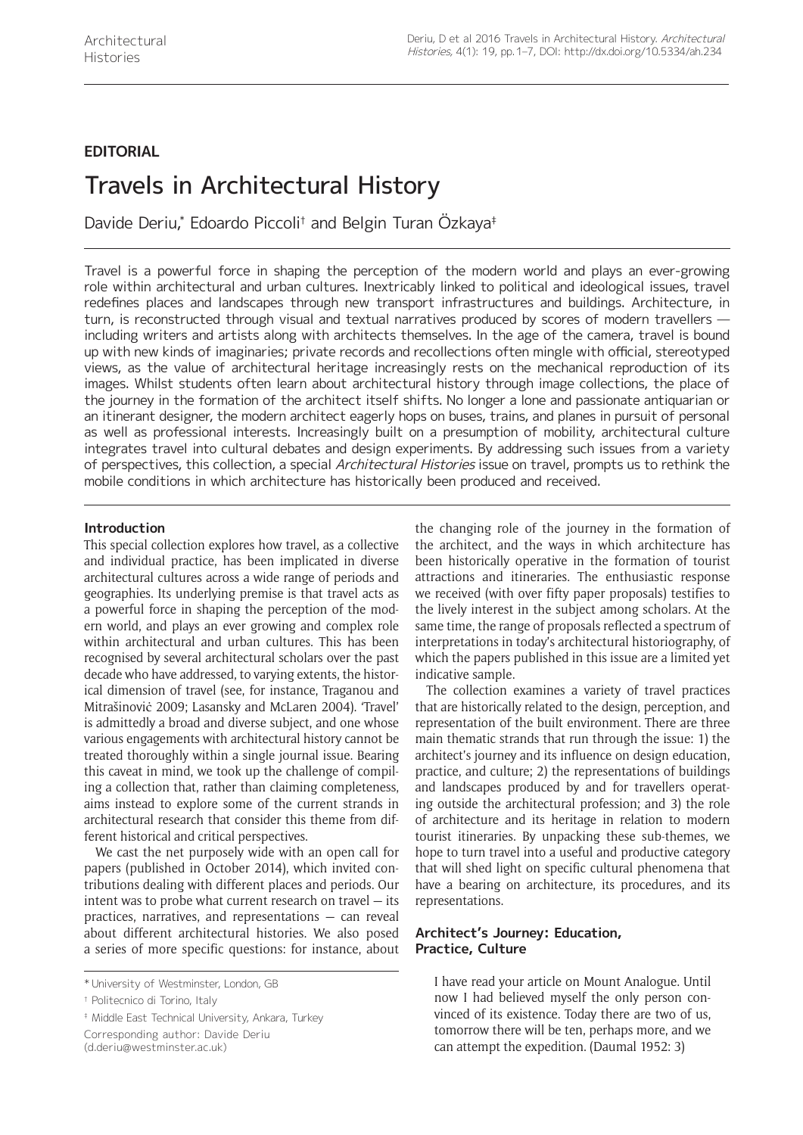## **EDITORIAL**

# Travels in Architectural History

Davide Deriu,\* Edoardo Piccoli† and Belgin Turan Özkaya‡

Travel is a powerful force in shaping the perception of the modern world and plays an ever-growing role within architectural and urban cultures. Inextricably linked to political and ideological issues, travel redefines places and landscapes through new transport infrastructures and buildings. Architecture, in turn, is reconstructed through visual and textual narratives produced by scores of modern travellers including writers and artists along with architects themselves. In the age of the camera, travel is bound up with new kinds of imaginaries; private records and recollections often mingle with official, stereotyped views, as the value of architectural heritage increasingly rests on the mechanical reproduction of its images. Whilst students often learn about architectural history through image collections, the place of the journey in the formation of the architect itself shifts. No longer a lone and passionate antiquarian or an itinerant designer, the modern architect eagerly hops on buses, trains, and planes in pursuit of personal as well as professional interests. Increasingly built on a presumption of mobility, architectural culture integrates travel into cultural debates and design experiments. By addressing such issues from a variety of perspectives, this collection, a special Architectural Histories issue on travel, prompts us to rethink the mobile conditions in which architecture has historically been produced and received.

## **Introduction**

This special collection explores how travel, as a collective and individual practice, has been implicated in diverse architectural cultures across a wide range of periods and geographies. Its underlying premise is that travel acts as a powerful force in shaping the perception of the modern world, and plays an ever growing and complex role within architectural and urban cultures. This has been recognised by several architectural scholars over the past decade who have addressed, to varying extents, the historical dimension of travel (see, for instance, Traganou and Mitrašinoviċ 2009; Lasansky and McLaren 2004). 'Travel' is admittedly a broad and diverse subject, and one whose various engagements with architectural history cannot be treated thoroughly within a single journal issue. Bearing this caveat in mind, we took up the challenge of compiling a collection that, rather than claiming completeness, aims instead to explore some of the current strands in architectural research that consider this theme from different historical and critical perspectives.

We cast the net purposely wide with an open call for papers (published in October 2014), which invited contributions dealing with different places and periods. Our intent was to probe what current research on travel — its practices, narratives, and representations — can reveal about different architectural histories. We also posed a series of more specific questions: for instance, about

‡ Middle East Technical University, Ankara, Turkey Corresponding author: Davide Deriu

[\(d.deriu@westminster.ac.uk](mailto:d.deriu@westminster.ac.uk))

the changing role of the journey in the formation of the architect, and the ways in which architecture has been historically operative in the formation of tourist attractions and itineraries. The enthusiastic response we received (with over fifty paper proposals) testifies to the lively interest in the subject among scholars. At the same time, the range of proposals reflected a spectrum of interpretations in today's architectural historiography, of which the papers published in this issue are a limited yet indicative sample.

The collection examines a variety of travel practices that are historically related to the design, perception, and representation of the built environment. There are three main thematic strands that run through the issue: 1) the architect's journey and its influence on design education, practice, and culture; 2) the representations of buildings and landscapes produced by and for travellers operating outside the architectural profession; and 3) the role of architecture and its heritage in relation to modern tourist itineraries. By unpacking these sub-themes, we hope to turn travel into a useful and productive category that will shed light on specific cultural phenomena that have a bearing on architecture, its procedures, and its representations.

## **Architect's Journey: Education, Practice, Culture**

I have read your article on Mount Analogue. Until now I had believed myself the only person convinced of its existence. Today there are two of us, tomorrow there will be ten, perhaps more, and we can attempt the expedition. (Daumal 1952: 3)

<sup>\*</sup> University of Westminster, London, GB

<sup>†</sup> Politecnico di Torino, Italy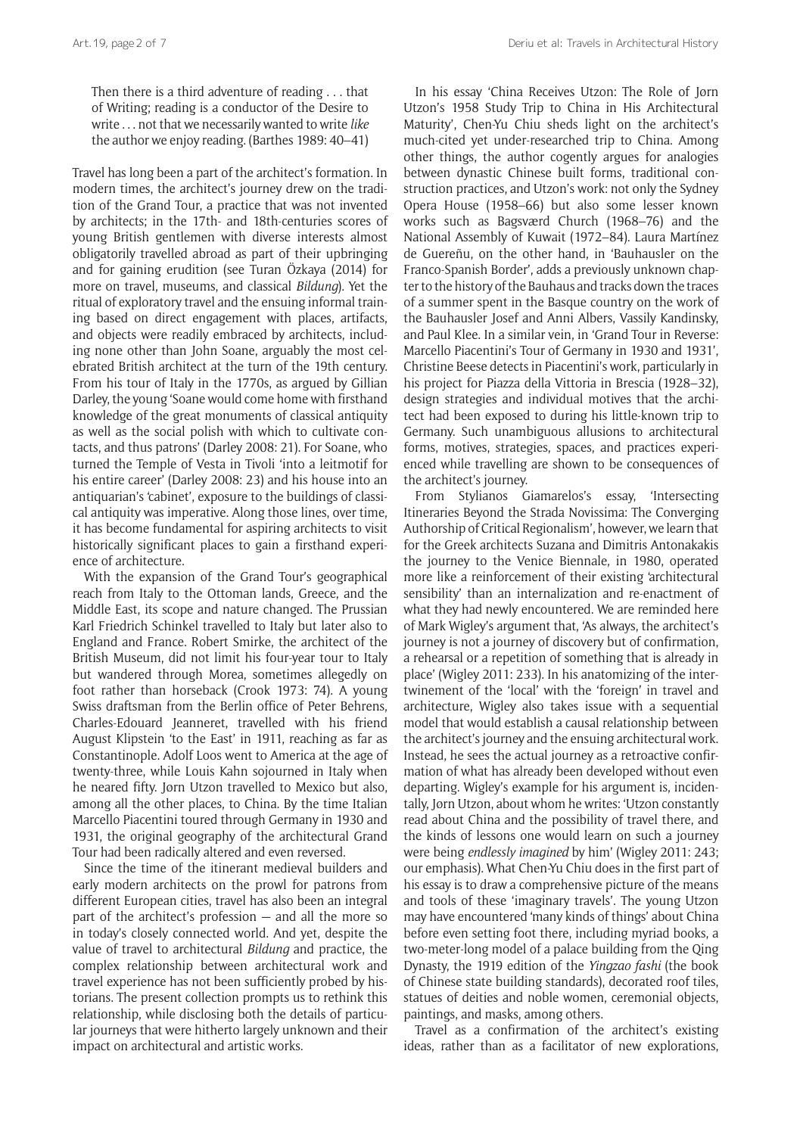Then there is a third adventure of reading . . . that of Writing; reading is a conductor of the Desire to write . . . not that we necessarily wanted to write *like* the author we enjoy reading. (Barthes 1989: 40–41)

Travel has long been a part of the architect's formation. In modern times, the architect's journey drew on the tradition of the Grand Tour, a practice that was not invented by architects; in the 17th- and 18th-centuries scores of young British gentlemen with diverse interests almost obligatorily travelled abroad as part of their upbringing and for gaining erudition (see Turan Özkaya (2014) for more on travel, museums, and classical *Bildung*). Yet the ritual of exploratory travel and the ensuing informal training based on direct engagement with places, artifacts, and objects were readily embraced by architects, including none other than John Soane, arguably the most celebrated British architect at the turn of the 19th century. From his tour of Italy in the 1770s, as argued by Gillian Darley, the young 'Soane would come home with firsthand knowledge of the great monuments of classical antiquity as well as the social polish with which to cultivate contacts, and thus patrons' (Darley 2008: 21). For Soane, who turned the Temple of Vesta in Tivoli 'into a leitmotif for his entire career' (Darley 2008: 23) and his house into an antiquarian's 'cabinet', exposure to the buildings of classical antiquity was imperative. Along those lines, over time, it has become fundamental for aspiring architects to visit historically significant places to gain a firsthand experience of architecture.

With the expansion of the Grand Tour's geographical reach from Italy to the Ottoman lands, Greece, and the Middle East, its scope and nature changed. The Prussian Karl Friedrich Schinkel travelled to Italy but later also to England and France. Robert Smirke, the architect of the British Museum, did not limit his four-year tour to Italy but wandered through Morea, sometimes allegedly on foot rather than horseback (Crook 1973: 74). A young Swiss draftsman from the Berlin office of Peter Behrens, Charles-Edouard Jeanneret, travelled with his friend August Klipstein 'to the East' in 1911, reaching as far as Constantinople. Adolf Loos went to America at the age of twenty-three, while Louis Kahn sojourned in Italy when he neared fifty. Jørn Utzon travelled to Mexico but also, among all the other places, to China. By the time Italian Marcello Piacentini toured through Germany in 1930 and 1931, the original geography of the architectural Grand Tour had been radically altered and even reversed.

Since the time of the itinerant medieval builders and early modern architects on the prowl for patrons from different European cities, travel has also been an integral part of the architect's profession — and all the more so in today's closely connected world. And yet, despite the value of travel to architectural *Bildung* and practice, the complex relationship between architectural work and travel experience has not been sufficiently probed by historians. The present collection prompts us to rethink this relationship, while disclosing both the details of particular journeys that were hitherto largely unknown and their impact on architectural and artistic works.

In his essay 'China Receives Utzon: The Role of Jørn Utzon's 1958 Study Trip to China in His Architectural Maturity', Chen-Yu Chiu sheds light on the architect's much-cited yet under-researched trip to China. Among other things, the author cogently argues for analogies between dynastic Chinese built forms, traditional construction practices, and Utzon's work: not only the Sydney Opera House (1958–66) but also some lesser known works such as Bagsværd Church (1968–76) and the National Assembly of Kuwait (1972–84). Laura Martínez de Guereñu, on the other hand, in 'Bauhausler on the Franco-Spanish Border', adds a previously unknown chapter to the history of the Bauhaus and tracks down the traces of a summer spent in the Basque country on the work of the Bauhausler Josef and Anni Albers, Vassily Kandinsky, and Paul Klee. In a similar vein, in 'Grand Tour in Reverse: Marcello Piacentini's Tour of Germany in 1930 and 1931', Christine Beese detects in Piacentini's work, particularly in his project for Piazza della Vittoria in Brescia (1928–32), design strategies and individual motives that the architect had been exposed to during his little-known trip to Germany. Such unambiguous allusions to architectural forms, motives, strategies, spaces, and practices experienced while travelling are shown to be consequences of the architect's journey.

From Stylianos Giamarelos's essay, 'Intersecting Itineraries Beyond the Strada Novissima: The Converging Authorship of Critical Regionalism', however, we learn that for the Greek architects Suzana and Dimitris Antonakakis the journey to the Venice Biennale, in 1980, operated more like a reinforcement of their existing 'architectural sensibility' than an internalization and re-enactment of what they had newly encountered. We are reminded here of Mark Wigley's argument that, 'As always, the architect's journey is not a journey of discovery but of confirmation, a rehearsal or a repetition of something that is already in place' (Wigley 2011: 233). In his anatomizing of the intertwinement of the 'local' with the 'foreign' in travel and architecture, Wigley also takes issue with a sequential model that would establish a causal relationship between the architect's journey and the ensuing architectural work. Instead, he sees the actual journey as a retroactive confirmation of what has already been developed without even departing. Wigley's example for his argument is, incidentally, Jørn Utzon, about whom he writes: 'Utzon constantly read about China and the possibility of travel there, and the kinds of lessons one would learn on such a journey were being *endlessly imagined* by him' (Wigley 2011: 243; our emphasis). What Chen-Yu Chiu does in the first part of his essay is to draw a comprehensive picture of the means and tools of these 'imaginary travels'. The young Utzon may have encountered 'many kinds of things' about China before even setting foot there, including myriad books, a two-meter-long model of a palace building from the Qing Dynasty, the 1919 edition of the *Yingzao fashi* (the book of Chinese state building standards), decorated roof tiles, statues of deities and noble women, ceremonial objects, paintings, and masks, among others.

Travel as a confirmation of the architect's existing ideas, rather than as a facilitator of new explorations,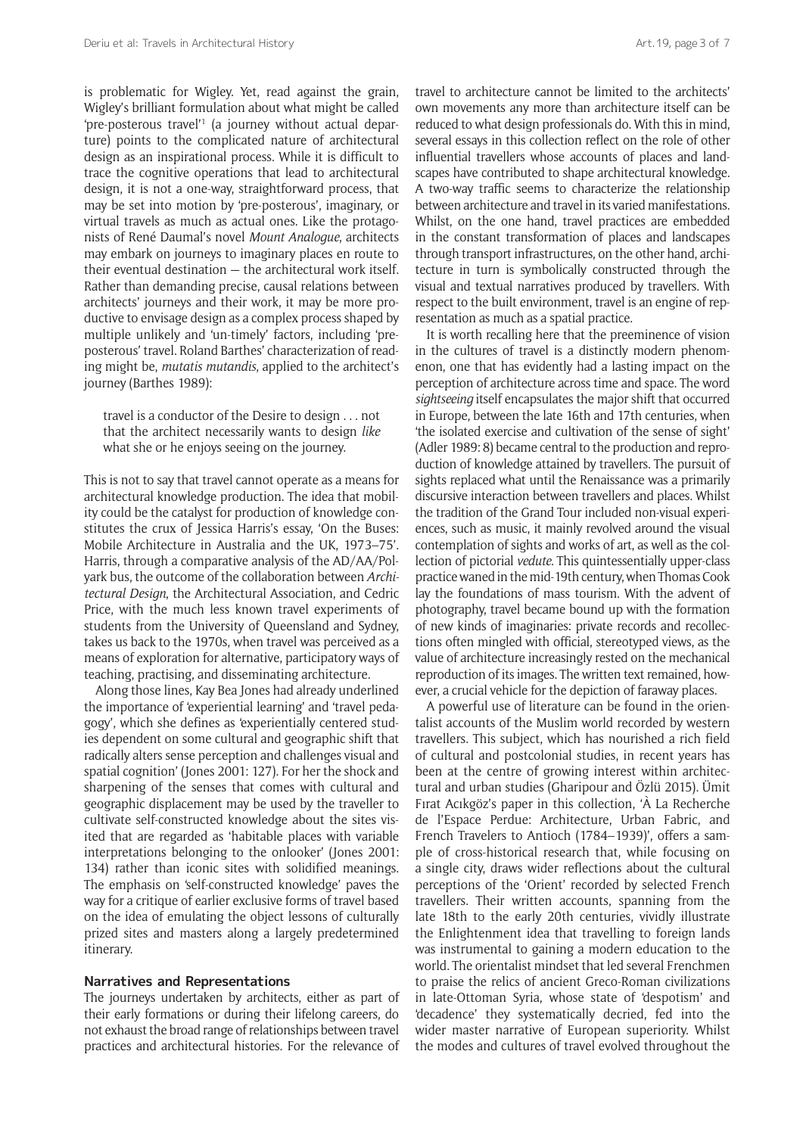is problematic for Wigley. Yet, read against the grain, Wigley's brilliant formulation about what might be called 'pre-posterous travel'1 (a journey without actual departure) points to the complicated nature of architectural design as an inspirational process. While it is difficult to trace the cognitive operations that lead to architectural design, it is not a one-way, straightforward process, that may be set into motion by 'pre-posterous', imaginary, or virtual travels as much as actual ones. Like the protagonists of René Daumal's novel *Mount Analogue*, architects may embark on journeys to imaginary places en route to their eventual destination — the architectural work itself. Rather than demanding precise, causal relations between architects' journeys and their work, it may be more productive to envisage design as a complex process shaped by multiple unlikely and 'un-timely' factors, including 'preposterous' travel. Roland Barthes' characterization of reading might be, *mutatis mutandis*, applied to the architect's journey (Barthes 1989):

travel is a conductor of the Desire to design . . . not that the architect necessarily wants to design *like* what she or he enjoys seeing on the journey.

This is not to say that travel cannot operate as a means for architectural knowledge production. The idea that mobility could be the catalyst for production of knowledge constitutes the crux of Jessica Harris's essay, 'On the Buses: Mobile Architecture in Australia and the UK, 1973–75'. Harris, through a comparative analysis of the AD/AA/Polyark bus, the outcome of the collaboration between *Architectural Design*, the Architectural Association, and Cedric Price, with the much less known travel experiments of students from the University of Queensland and Sydney, takes us back to the 1970s, when travel was perceived as a means of exploration for alternative, participatory ways of teaching, practising, and disseminating architecture.

Along those lines, Kay Bea Jones had already underlined the importance of 'experiential learning' and 'travel pedagogy', which she defines as 'experientially centered studies dependent on some cultural and geographic shift that radically alters sense perception and challenges visual and spatial cognition' (Jones 2001: 127). For her the shock and sharpening of the senses that comes with cultural and geographic displacement may be used by the traveller to cultivate self-constructed knowledge about the sites visited that are regarded as 'habitable places with variable interpretations belonging to the onlooker' (Jones 2001: 134) rather than iconic sites with solidified meanings. The emphasis on 'self-constructed knowledge' paves the way for a critique of earlier exclusive forms of travel based on the idea of emulating the object lessons of culturally prized sites and masters along a largely predetermined itinerary.

#### **Narratives and Representations**

The journeys undertaken by architects, either as part of their early formations or during their lifelong careers, do not exhaust the broad range of relationships between travel practices and architectural histories. For the relevance of travel to architecture cannot be limited to the architects' own movements any more than architecture itself can be reduced to what design professionals do. With this in mind, several essays in this collection reflect on the role of other influential travellers whose accounts of places and landscapes have contributed to shape architectural knowledge. A two-way traffic seems to characterize the relationship between architecture and travel in its varied manifestations. Whilst, on the one hand, travel practices are embedded in the constant transformation of places and landscapes through transport infrastructures, on the other hand, architecture in turn is symbolically constructed through the visual and textual narratives produced by travellers. With respect to the built environment, travel is an engine of representation as much as a spatial practice.

It is worth recalling here that the preeminence of vision in the cultures of travel is a distinctly modern phenomenon, one that has evidently had a lasting impact on the perception of architecture across time and space. The word *sightseeing* itself encapsulates the major shift that occurred in Europe, between the late 16th and 17th centuries, when 'the isolated exercise and cultivation of the sense of sight' (Adler 1989: 8) became central to the production and reproduction of knowledge attained by travellers. The pursuit of sights replaced what until the Renaissance was a primarily discursive interaction between travellers and places. Whilst the tradition of the Grand Tour included non-visual experiences, such as music, it mainly revolved around the visual contemplation of sights and works of art, as well as the collection of pictorial *vedute*. This quintessentially upper-class practice waned in the mid-19th century, when Thomas Cook lay the foundations of mass tourism. With the advent of photography, travel became bound up with the formation of new kinds of imaginaries: private records and recollections often mingled with official, stereotyped views, as the value of architecture increasingly rested on the mechanical reproduction of its images. The written text remained, however, a crucial vehicle for the depiction of faraway places.

A powerful use of literature can be found in the orientalist accounts of the Muslim world recorded by western travellers. This subject, which has nourished a rich field of cultural and postcolonial studies, in recent years has been at the centre of growing interest within architectural and urban studies (Gharipour and Özlü 2015). Ümit Fırat Acıkgöz's paper in this collection, 'À La Recherche de l'Espace Perdue: Architecture, Urban Fabric, and French Travelers to Antioch (1784–1939)', offers a sample of cross-historical research that, while focusing on a single city, draws wider reflections about the cultural perceptions of the 'Orient' recorded by selected French travellers. Their written accounts, spanning from the late 18th to the early 20th centuries, vividly illustrate the Enlightenment idea that travelling to foreign lands was instrumental to gaining a modern education to the world. The orientalist mindset that led several Frenchmen to praise the relics of ancient Greco-Roman civilizations in late-Ottoman Syria, whose state of 'despotism' and 'decadence' they systematically decried, fed into the wider master narrative of European superiority. Whilst the modes and cultures of travel evolved throughout the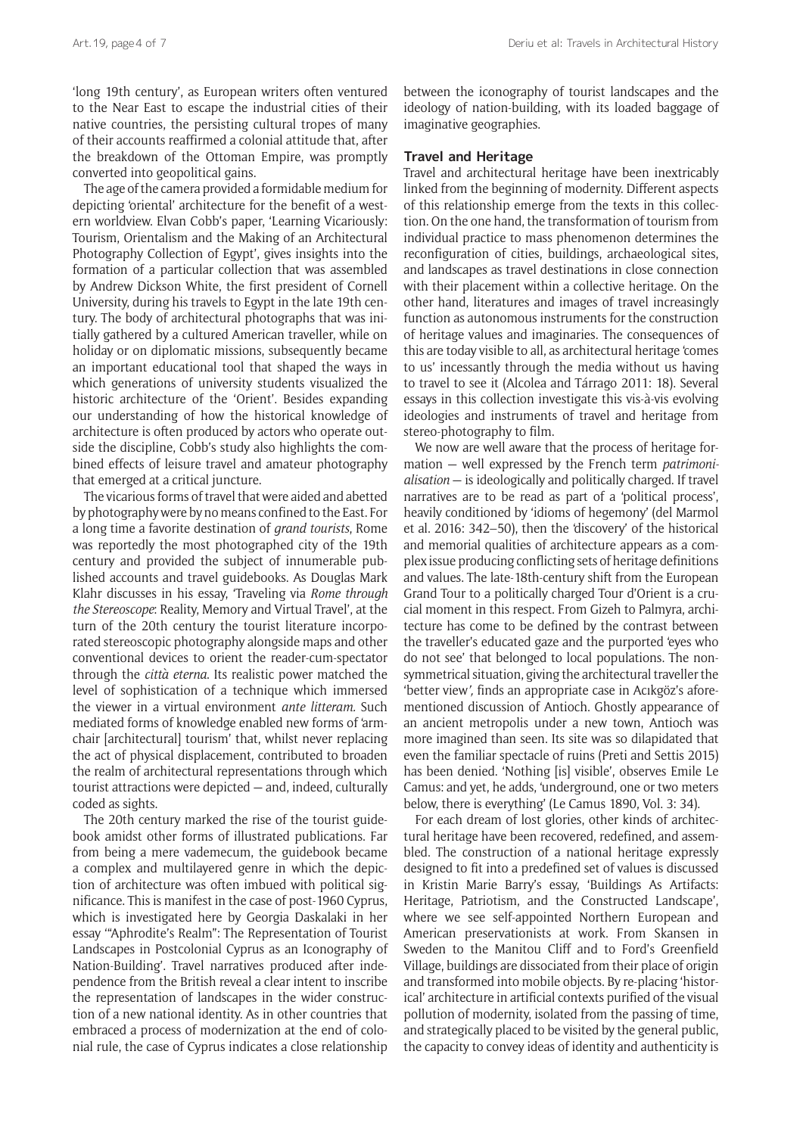'long 19th century', as European writers often ventured to the Near East to escape the industrial cities of their native countries, the persisting cultural tropes of many of their accounts reaffirmed a colonial attitude that, after the breakdown of the Ottoman Empire, was promptly converted into geopolitical gains.

The age of the camera provided a formidable medium for depicting 'oriental' architecture for the benefit of a western worldview. Elvan Cobb's paper, 'Learning Vicariously: Tourism, Orientalism and the Making of an Architectural Photography Collection of Egypt', gives insights into the formation of a particular collection that was assembled by Andrew Dickson White, the first president of Cornell University, during his travels to Egypt in the late 19th century. The body of architectural photographs that was initially gathered by a cultured American traveller, while on holiday or on diplomatic missions, subsequently became an important educational tool that shaped the ways in which generations of university students visualized the historic architecture of the 'Orient'. Besides expanding our understanding of how the historical knowledge of architecture is often produced by actors who operate outside the discipline, Cobb's study also highlights the combined effects of leisure travel and amateur photography that emerged at a critical juncture.

The vicarious forms of travel that were aided and abetted by photography were by no means confined to the East. For a long time a favorite destination of *grand tourists*, Rome was reportedly the most photographed city of the 19th century and provided the subject of innumerable published accounts and travel guidebooks. As Douglas Mark Klahr discusses in his essay, 'Traveling via *Rome through the Stereoscope*: Reality, Memory and Virtual Travel', at the turn of the 20th century the tourist literature incorporated stereoscopic photography alongside maps and other conventional devices to orient the reader-cum-spectator through the *città eterna*. Its realistic power matched the level of sophistication of a technique which immersed the viewer in a virtual environment *ante litteram.* Such mediated forms of knowledge enabled new forms of 'armchair [architectural] tourism' that, whilst never replacing the act of physical displacement, contributed to broaden the realm of architectural representations through which tourist attractions were depicted — and, indeed, culturally coded as sights.

The 20th century marked the rise of the tourist guidebook amidst other forms of illustrated publications. Far from being a mere vademecum, the guidebook became a complex and multilayered genre in which the depiction of architecture was often imbued with political significance. This is manifest in the case of post-1960 Cyprus, which is investigated here by Georgia Daskalaki in her essay '"Aphrodite's Realm": The Representation of Tourist Landscapes in Postcolonial Cyprus as an Iconography of Nation-Building'. Travel narratives produced after independence from the British reveal a clear intent to inscribe the representation of landscapes in the wider construction of a new national identity. As in other countries that embraced a process of modernization at the end of colonial rule, the case of Cyprus indicates a close relationship between the iconography of tourist landscapes and the ideology of nation-building, with its loaded baggage of imaginative geographies.

## **Travel and Heritage**

Travel and architectural heritage have been inextricably linked from the beginning of modernity. Different aspects of this relationship emerge from the texts in this collection. On the one hand, the transformation of tourism from individual practice to mass phenomenon determines the reconfiguration of cities, buildings, archaeological sites, and landscapes as travel destinations in close connection with their placement within a collective heritage. On the other hand, literatures and images of travel increasingly function as autonomous instruments for the construction of heritage values and imaginaries. The consequences of this are today visible to all, as architectural heritage 'comes to us' incessantly through the media without us having to travel to see it (Alcolea and Tárrago 2011: 18). Several essays in this collection investigate this vis-à-vis evolving ideologies and instruments of travel and heritage from stereo-photography to film.

We now are well aware that the process of heritage formation — well expressed by the French term *patrimonialisation* — is ideologically and politically charged. If travel narratives are to be read as part of a 'political process', heavily conditioned by 'idioms of hegemony' (del Marmol et al. 2016: 342–50), then the 'discovery' of the historical and memorial qualities of architecture appears as a complex issue producing conflicting sets of heritage definitions and values. The late-18th-century shift from the European Grand Tour to a politically charged Tour d'Orient is a crucial moment in this respect. From Gizeh to Palmyra, architecture has come to be defined by the contrast between the traveller's educated gaze and the purported 'eyes who do not see' that belonged to local populations. The nonsymmetrical situation, giving the architectural traveller the 'better view*',* finds an appropriate case in Acıkgöz's aforementioned discussion of Antioch. Ghostly appearance of an ancient metropolis under a new town, Antioch was more imagined than seen. Its site was so dilapidated that even the familiar spectacle of ruins (Preti and Settis 2015) has been denied. 'Nothing [is] visible', observes Emile Le Camus: and yet, he adds, 'underground, one or two meters below, there is everything' (Le Camus 1890, Vol. 3: 34).

For each dream of lost glories, other kinds of architectural heritage have been recovered, redefined, and assembled. The construction of a national heritage expressly designed to fit into a predefined set of values is discussed in Kristin Marie Barry's essay, 'Buildings As Artifacts: Heritage, Patriotism, and the Constructed Landscape', where we see self-appointed Northern European and American preservationists at work. From Skansen in Sweden to the Manitou Cliff and to Ford's Greenfield Village, buildings are dissociated from their place of origin and transformed into mobile objects. By re-placing 'historical' architecture in artificial contexts purified of the visual pollution of modernity, isolated from the passing of time, and strategically placed to be visited by the general public, the capacity to convey ideas of identity and authenticity is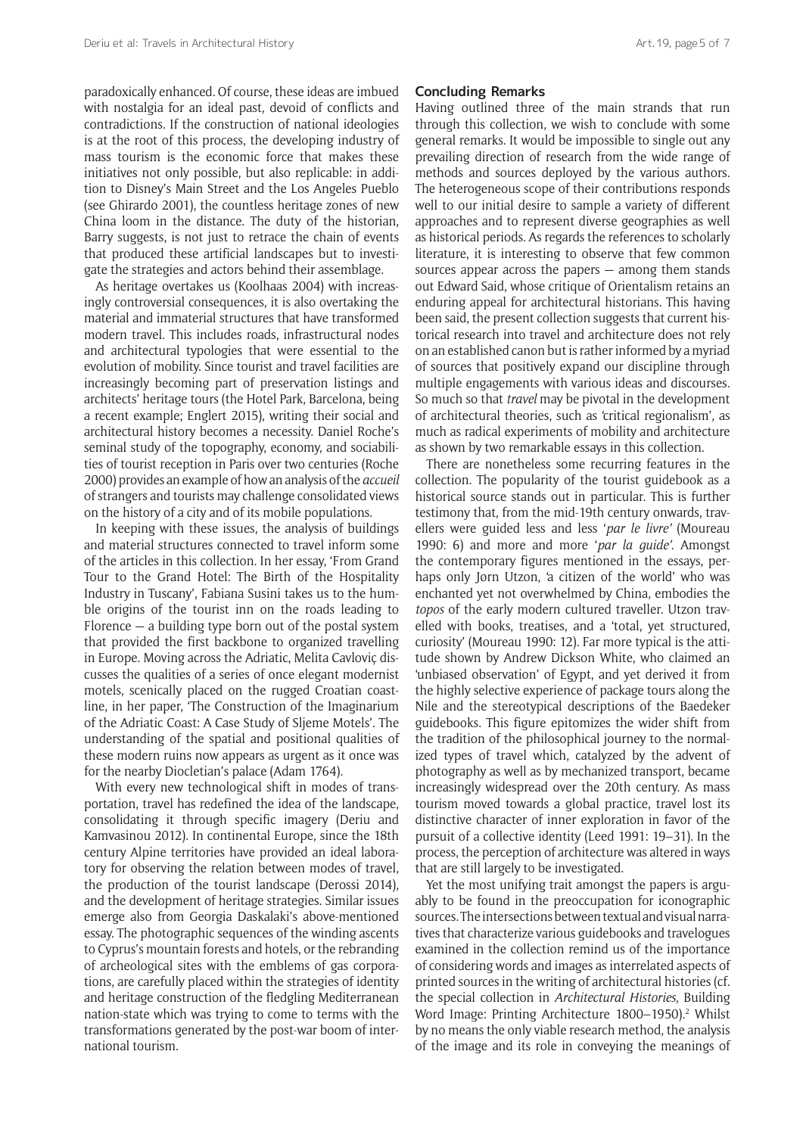paradoxically enhanced. Of course, these ideas are imbued with nostalgia for an ideal past, devoid of conflicts and contradictions. If the construction of national ideologies is at the root of this process, the developing industry of mass tourism is the economic force that makes these initiatives not only possible, but also replicable: in addition to Disney's Main Street and the Los Angeles Pueblo (see Ghirardo 2001), the countless heritage zones of new China loom in the distance. The duty of the historian, Barry suggests, is not just to retrace the chain of events that produced these artificial landscapes but to investigate the strategies and actors behind their assemblage.

As heritage overtakes us (Koolhaas 2004) with increasingly controversial consequences, it is also overtaking the material and immaterial structures that have transformed modern travel. This includes roads, infrastructural nodes and architectural typologies that were essential to the evolution of mobility. Since tourist and travel facilities are increasingly becoming part of preservation listings and architects' heritage tours (the Hotel Park, Barcelona, being a recent example; Englert 2015), writing their social and architectural history becomes a necessity. Daniel Roche's seminal study of the topography, economy, and sociabilities of tourist reception in Paris over two centuries (Roche 2000) provides an example of how an analysis of the *accueil* of strangers and tourists may challenge consolidated views on the history of a city and of its mobile populations.

In keeping with these issues, the analysis of buildings and material structures connected to travel inform some of the articles in this collection. In her essay, 'From Grand Tour to the Grand Hotel: The Birth of the Hospitality Industry in Tuscany', Fabiana Susini takes us to the humble origins of the tourist inn on the roads leading to Florence  $-$  a building type born out of the postal system that provided the first backbone to organized travelling in Europe. Moving across the Adriatic, Melita Cavloviç discusses the qualities of a series of once elegant modernist motels, scenically placed on the rugged Croatian coastline, in her paper, 'The Construction of the Imaginarium of the Adriatic Coast: A Case Study of Sljeme Motels'. The understanding of the spatial and positional qualities of these modern ruins now appears as urgent as it once was for the nearby Diocletian's palace (Adam 1764).

With every new technological shift in modes of transportation, travel has redefined the idea of the landscape, consolidating it through specific imagery (Deriu and Kamvasinou 2012). In continental Europe, since the 18th century Alpine territories have provided an ideal laboratory for observing the relation between modes of travel, the production of the tourist landscape (Derossi 2014), and the development of heritage strategies. Similar issues emerge also from Georgia Daskalaki's above-mentioned essay. The photographic sequences of the winding ascents to Cyprus's mountain forests and hotels, or the rebranding of archeological sites with the emblems of gas corporations, are carefully placed within the strategies of identity and heritage construction of the fledgling Mediterranean nation-state which was trying to come to terms with the transformations generated by the post-war boom of international tourism.

#### **Concluding Remarks**

Having outlined three of the main strands that run through this collection, we wish to conclude with some general remarks. It would be impossible to single out any prevailing direction of research from the wide range of methods and sources deployed by the various authors. The heterogeneous scope of their contributions responds well to our initial desire to sample a variety of different approaches and to represent diverse geographies as well as historical periods. As regards the references to scholarly literature, it is interesting to observe that few common sources appear across the papers — among them stands out Edward Said, whose critique of Orientalism retains an enduring appeal for architectural historians. This having been said, the present collection suggests that current historical research into travel and architecture does not rely on an established canon but is rather informed by a myriad of sources that positively expand our discipline through multiple engagements with various ideas and discourses. So much so that *travel* may be pivotal in the development of architectural theories, such as 'critical regionalism', as much as radical experiments of mobility and architecture as shown by two remarkable essays in this collection.

There are nonetheless some recurring features in the collection. The popularity of the tourist guidebook as a historical source stands out in particular. This is further testimony that, from the mid-19th century onwards, travellers were guided less and less '*par le livre'* (Moureau 1990: 6) and more and more '*par la guide'*. Amongst the contemporary figures mentioned in the essays, perhaps only Jørn Utzon, 'a citizen of the world' who was enchanted yet not overwhelmed by China, embodies the *topos* of the early modern cultured traveller. Utzon travelled with books, treatises, and a 'total, yet structured, curiosity' (Moureau 1990: 12). Far more typical is the attitude shown by Andrew Dickson White, who claimed an 'unbiased observation' of Egypt, and yet derived it from the highly selective experience of package tours along the Nile and the stereotypical descriptions of the Baedeker guidebooks. This figure epitomizes the wider shift from the tradition of the philosophical journey to the normalized types of travel which, catalyzed by the advent of photography as well as by mechanized transport, became increasingly widespread over the 20th century. As mass tourism moved towards a global practice, travel lost its distinctive character of inner exploration in favor of the pursuit of a collective identity (Leed 1991: 19–31). In the process, the perception of architecture was altered in ways that are still largely to be investigated.

Yet the most unifying trait amongst the papers is arguably to be found in the preoccupation for iconographic sources. The intersections between textual and visual narratives that characterize various guidebooks and travelogues examined in the collection remind us of the importance of considering words and images as interrelated aspects of printed sources in the writing of architectural histories (cf. the special collection in *Architectural Histories*, [Building](http://journal.eahn.org/collections/special/building-word-image-printing-architecture-1800-1950/) Word Image: Printing Architecture 1800-1950).<sup>2</sup> Whilst by no means the only viable research method, the analysis of the image and its role in conveying the meanings of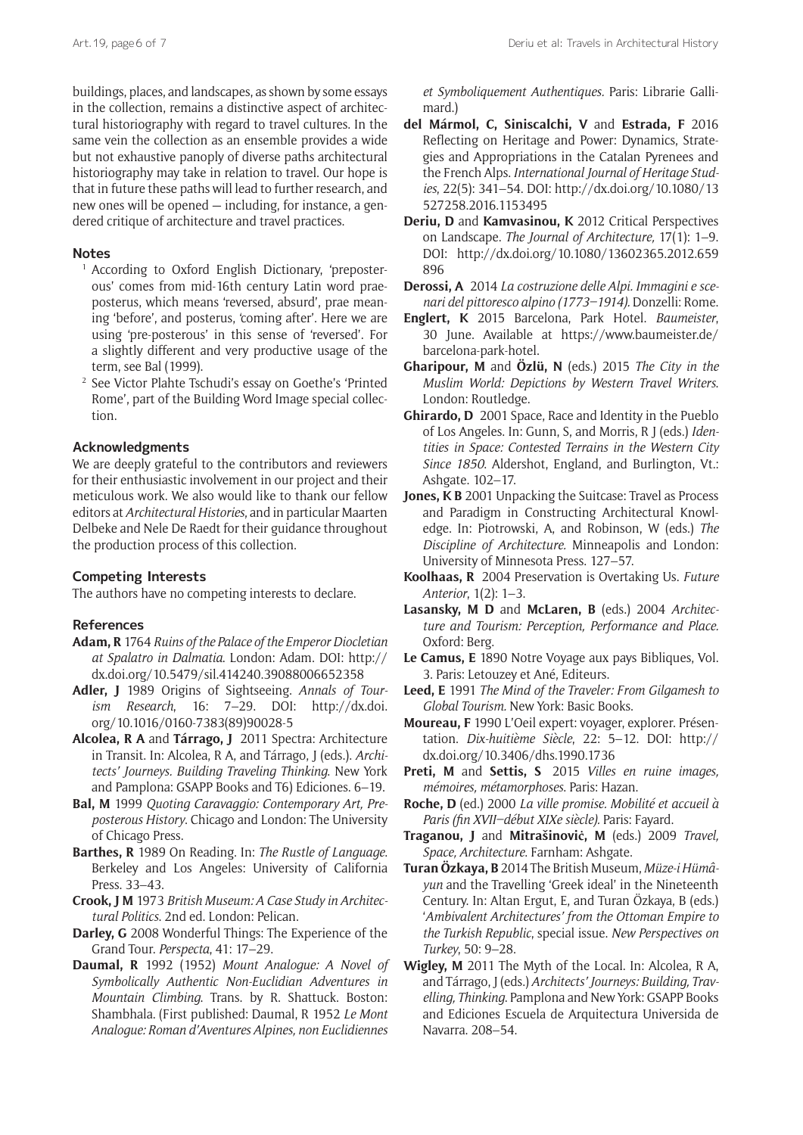buildings, places, and landscapes, as shown by some essays in the collection, remains a distinctive aspect of architectural historiography with regard to travel cultures. In the same vein the collection as an ensemble provides a wide but not exhaustive panoply of diverse paths architectural historiography may take in relation to travel. Our hope is that in future these paths will lead to further research, and new ones will be opened — including, for instance, a gendered critique of architecture and travel practices.

## **Notes**

- <sup>1</sup> According to Oxford English Dictionary, 'preposterous' comes from mid-16th century Latin word praeposterus, which means 'reversed, absurd', prae meaning 'before', and posterus, 'coming after'. Here we are using 'pre-posterous' in this sense of 'reversed'. For a slightly different and very productive usage of the term, see Bal (1999).
- <sup>2</sup> See [Victor Plahte Tschudi's essay on Goethe's 'Printed](http://doi.org/10.5334/ah.cx) [Rome'](http://doi.org/10.5334/ah.cx), part of the Building Word Image special collection.

## **Acknowledgments**

We are deeply grateful to the contributors and reviewers for their enthusiastic involvement in our project and their meticulous work. We also would like to thank our fellow editors at *Architectural Histories*, and in particular Maarten Delbeke and Nele De Raedt for their guidance throughout the production process of this collection.

## **Competing Interests**

The authors have no competing interests to declare.

#### **References**

- **Adam, R** 1764 *Ruins of the Palace of the Emperor Diocletian at Spalatro in Dalmatia*. London: Adam. DOI: [http://](http://dx.doi.org/10.5479/sil.414240.39088006652358) [dx.doi.org/10.5479/sil.414240.39088006652358](http://dx.doi.org/10.5479/sil.414240.39088006652358)
- **Adler, J** 1989 Origins of Sightseeing. *Annals of Tourism Research*, 16: 7–29. DOI: [http://dx.doi.](http://dx.doi.org/10.1016/0160-7383(89)90028-5) [org/10.1016/0160-7383\(89\)90028-5](http://dx.doi.org/10.1016/0160-7383(89)90028-5)
- **Alcolea, R A** and **Tárrago, J** 2011 Spectra: Architecture in Transit. In: Alcolea, R A, and Tárrago, J (eds.). *Architects' Journeys. Building Traveling Thinking*. New York and Pamplona: GSAPP Books and T6) Ediciones. 6–19.
- **Bal, M** 1999 *Quoting Caravaggio: Contemporary Art, Preposterous History*. Chicago and London: The University of Chicago Press.
- **Barthes, R** 1989 On Reading. In: *The Rustle of Language*. Berkeley and Los Angeles: University of California Press. 33–43.
- **Crook, J M** 1973 *British Museum: A Case Study in Architectural Politics*. 2nd ed. London: Pelican.
- **Darley, G** 2008 Wonderful Things: The Experience of the Grand Tour. *Perspecta*, 41: 17–29.
- **Daumal, R** 1992 (1952) *Mount Analogue: A Novel of Symbolically Authentic Non-Euclidian Adventures in Mountain Climbing*. Trans. by R. Shattuck. Boston: Shambhala. (First published: Daumal, R 1952 *Le Mont Analogue: Roman d'Aventures Alpines, non Euclidiennes*

*et Symboliquement Authentiques.* Paris: Librarie Gallimard.)

- **del Mármol, C, Siniscalchi, V** and **Estrada, F** 2016 Reflecting on Heritage and Power: Dynamics, Strategies and Appropriations in the Catalan Pyrenees and the French Alps. *International Journal of Heritage Studies*, 22(5): 341–54. DOI: [http://dx.doi.org/10.1080/13](http://dx.doi.org/10.1080/13527258.2016.1153495) [527258.2016.1153495](http://dx.doi.org/10.1080/13527258.2016.1153495)
- **Deriu, D** and **Kamvasinou, K** 2012 Critical Perspectives on Landscape. *The Journal of Architecture,* 17(1): 1–9. DOI: [http://dx.doi.org/10.1080/13602365.2012.659](http://dx.doi.org/10.1080/13602365.2012.659896) [896](http://dx.doi.org/10.1080/13602365.2012.659896)
- **Derossi, A** 2014 *La costruzione delle Alpi. Immagini e scenari del pittoresco alpino (1773–1914).* Donzelli: Rome.
- **Englert, K** 2015 Barcelona, Park Hotel. *Baumeister*, 30 June. Available at [https://www.baumeister.de/](https://www.baumeister.de/barcelona-park-hotel) [barcelona-park-hotel.](https://www.baumeister.de/barcelona-park-hotel)
- **Gharipour, M** and **Özlü, N** (eds.) 2015 *The City in the Muslim World: Depictions by Western Travel Writers*. London: Routledge.
- **Ghirardo, D** 2001 Space, Race and Identity in the Pueblo of Los Angeles. In: Gunn, S, and Morris, R J (eds.) *Identities in Space: Contested Terrains in the Western City Since 1850*. Aldershot, England, and Burlington, Vt.: Ashgate. 102–17.
- **Jones, K B** 2001 Unpacking the Suitcase: Travel as Process and Paradigm in Constructing Architectural Knowledge. In: Piotrowski, A, and Robinson, W (eds.) *The Discipline of Architecture.* Minneapolis and London: University of Minnesota Press. 127–57.
- **Koolhaas, R** 2004 Preservation is Overtaking Us. *Future Anterior*, 1(2): 1–3.
- **Lasansky, M D** and **McLaren, B** (eds.) 2004 *Architecture and Tourism: Perception, Performance and Place.* Oxford: Berg.
- **Le Camus, E** 1890 Notre Voyage aux pays Bibliques, Vol. 3. Paris: Letouzey et Ané, Editeurs.
- **Leed, E** 1991 *The Mind of the Traveler: From Gilgamesh to Global Tourism.* New York: Basic Books.
- **Moureau, F** 1990 L'Oeil expert: voyager, explorer. Présentation. *Dix-huitième Siècle*, 22: 5–12. DOI: [http://](http://dx.doi.org/10.3406/dhs.1990.1736) [dx.doi.org/10.3406/dhs.1990.1736](http://dx.doi.org/10.3406/dhs.1990.1736)
- **Preti, M** and **Settis, S**  2015 *Villes en ruine images, mémoires, métamorphoses*. Paris: Hazan.
- **Roche, D** (ed.) 2000 *La ville promise. Mobilité et accueil à Paris (fin XVII–début XIXe siècle).* Paris: Fayard.
- **Traganou, J** and **Mitrašinoviċ, M** (eds.) 2009 *Travel, Space, Architecture*. Farnham: Ashgate.
- **Turan Özkaya, B** 2014 The British Museum, *Müze-i Hümâyun* and the Travelling 'Greek ideal' in the Nineteenth Century. In: Altan Ergut, E, and Turan Özkaya, B (eds.) '*Ambivalent Architectures' from the Ottoman Empire to the Turkish Republic*, special issue. *New Perspectives on Turkey*, 50: 9–28.
- **Wigley, M** 2011 The Myth of the Local. In: Alcolea, R A, and Tárrago, J (eds.) *Architects' Journeys: Building, Travelling, Thinking*. Pamplona and New York: GSAPP Books and Ediciones Escuela de Arquitectura Universida de Navarra. 208–54.